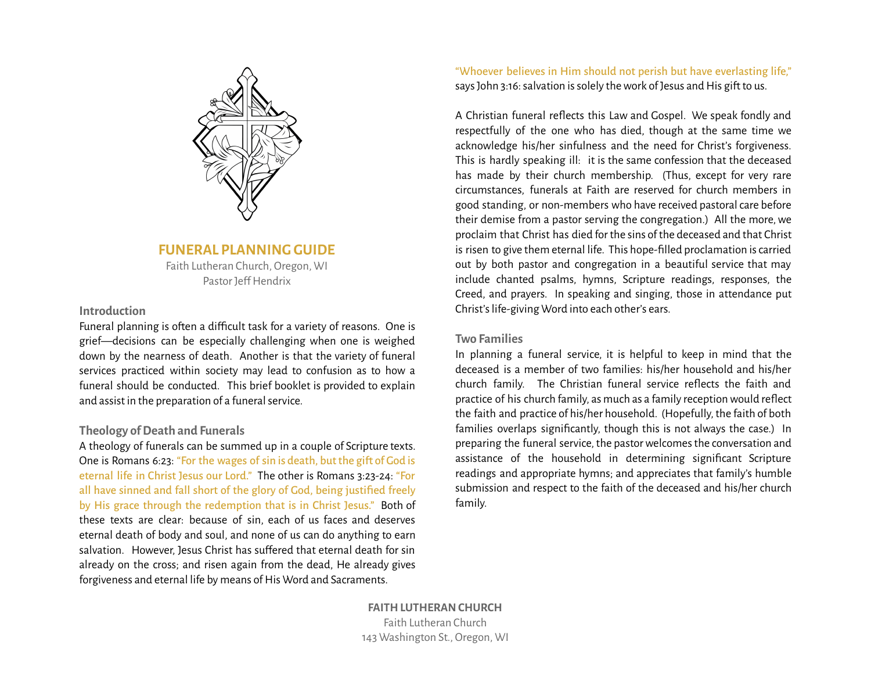

## **FUNERAL PLANNING GUIDE**

Faith Lutheran Church, Oregon, WI Pastor Jeff Hendrix

## **Introduction**

Funeral planning is often a difficult task for a variety of reasons. One is grief—decisions can be especially challenging when one is weighed down by the nearness of death. Another is that the variety of funeral services practiced within society may lead to confusion as to how a funeral should be conducted. This brief booklet is provided to explain and assist in the preparation of a funeral service.

## **Theology ofDeath and Funerals**

A theology of funerals can be summed up in a couple of Scripture texts. One is Romans 6:23: "For the wages of sin is death, but the gift of God is eternal life in Christ Jesus our Lord." The other is Romans 3:23-24: "For all have sinned and fall short of the glory of God, being justified freely by His grace through the redemption that is in Christ Jesus." Both of these texts are clear: because of sin, each of us faces and deserves eternal death of body and soul, and none of us can do anything to earn salvation. However, Jesus Christ has sufered that eternal death for sin already on the cross; and risen again from the dead, He already gives forgiveness and eternal life by means of His Word and Sacraments.

"Whoever believes in Him should not perish but have everlasting life," says John 3:16: salvation is solely the work of Jesus and His gift to us.

A Christian funeral reflects this Law and Gospel. We speak fondly and respectfully of the one who has died, though at the same time we acknowledge his/her sinfulness and the need for Christ's forgiveness. This is hardly speaking ill: it is the same confession that the deceased has made by their church membership. (Thus, except for very rare circumstances, funerals at Faith are reserved for church members in good standing, or non-members who have received pastoral care before their demise from a pastor serving the congregation.) All the more,we proclaim that Christ has died for the sins of the deceased and that Christ is risen to give them eternal life. This hope-filled proclamation is carried out by both pastor and congregation in a beautiful service that may include chanted psalms, hymns, Scripture readings, responses, the Creed, and prayers. In speaking and singing, those in attendance put Christ's life-giving Word into each other's ears.

## **Two Families**

In planning a funeral service, it is helpful to keep in mind that the deceased is a member of two families: his/her household and his/her church family. The Christian funeral service reflects the faith and practice of his church family, as much as a family reception would reflect the faith and practice of his/her household. (Hopefully, the faith of both families overlaps significantly, though this is not always the case.) In preparing the funeral service, the pastor welcomes the conversation and assistance of the household in determining significant Scripture readings and appropriate hymns; and appreciates that family's humble submission and respect to the faith of the deceased and his/her church family.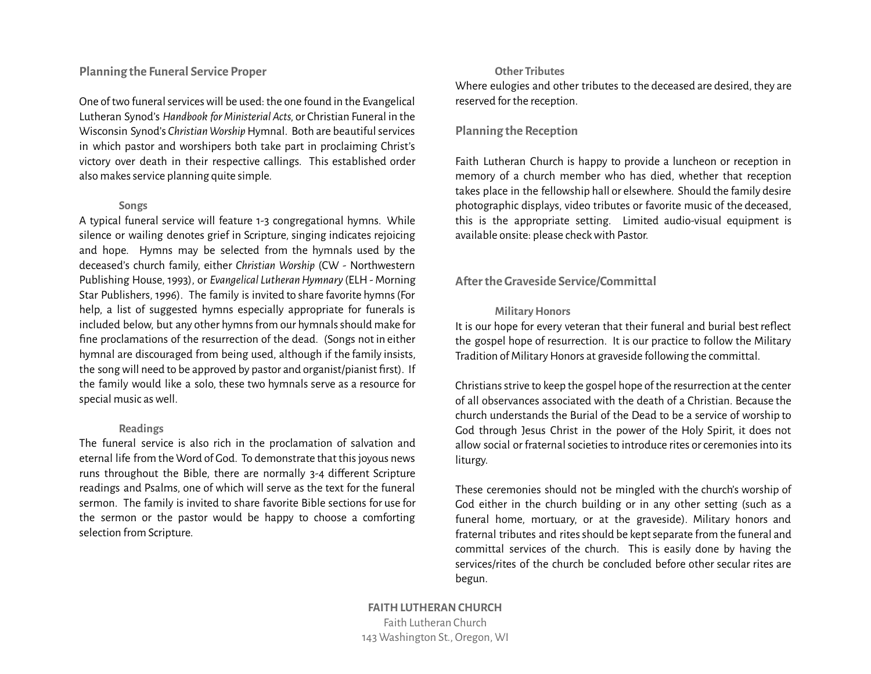## **Planning the Funeral Service Proper**

One of two funeral services will be used: the one found in the Evangelical Lutheran Synod's *Handbook forMinisterial Acts,* or Christian Funeral in the Wisconsin Synod's *Christian Worship* Hymnal. Both are beautiful services in which pastor and worshipers both take part in proclaiming Christ's victory over death in their respective callings. This established order also makes service planning quite simple.

#### **Songs**

A typical funeral service will feature 1-3 congregational hymns. While silence or wailing denotes grief in Scripture, singing indicates rejoicing and hope. Hymns may be selected from the hymnals used by the deceased's church family, either *Christian Worship* (CW - Northwestern Publishing House, 1993), or *Evangelical LutheranHymnary* (ELH- Morning Star Publishers, 1996). The family is invited to share favorite hymns(For help, a list of suggested hymns especially appropriate for funerals is included below, but any other hymns from our hymnals should make for fine proclamations of the resurrection of the dead. (Songs not in either hymnal are discouraged from being used, although if the family insists, the songwill need to be approved by pastor and organist/pianist first). If the family would like a solo, these two hymnals serve as a resource for special music aswell.

#### **Readings**

The funeral service is also rich in the proclamation of salvation and eternal life from the Word of God. To demonstrate that thisjoyous news runs throughout the Bible, there are normally 3-4 diferent Scripture readings and Psalms, one of which will serve as the text for the funeral sermon. The family is invited to share favorite Bible sections for use for the sermon or the pastor would be happy to choose a comforting selection from Scripture.

#### **Other Tributes**

Where eulogies and other tributes to the deceased are desired, they are reserved for the reception.

### **Planning the Reception**

Faith Lutheran Church is happy to provide a luncheon or reception in memory of a church member who has died, whether that reception takes place in the fellowship hall or elsewhere. Should the family desire photographic displays, video tributes or favorite music of the deceased, this is the appropriate setting. Limited audio-visual equipment is available onsite: please checkwith Pastor.

### **Aterthe Graveside Service/Committal**

#### **Military Honors**

It is our hope for every veteran that their funeral and burial best reflect the gospel hope of resurrection. It is our practice to follow the Military Tradition of Military Honors at graveside following the committal.

Christians strive to keep the gospel hope of the resurrection at the center of all observances associated with the death of a Christian. Because the church understands the Burial of the Dead to be a service of worship to God through Jesus Christ in the power of the Holy Spirit, it does not allow social or fraternal societies to introduce rites or ceremonies into its liturgy.

These ceremonies should not be mingled with the church's worship of God either in the church building or in any other setting (such as a funeral home, mortuary, or at the graveside). Military honors and fraternal tributes and rites should be kept separate from the funeral and committal services of the church. This is easily done by having the services/rites of the church be concluded before other secular rites are begun.

**FAITH LUTHERAN CHURCH** Faith Lutheran Church 143 Washington St., Oregon, WI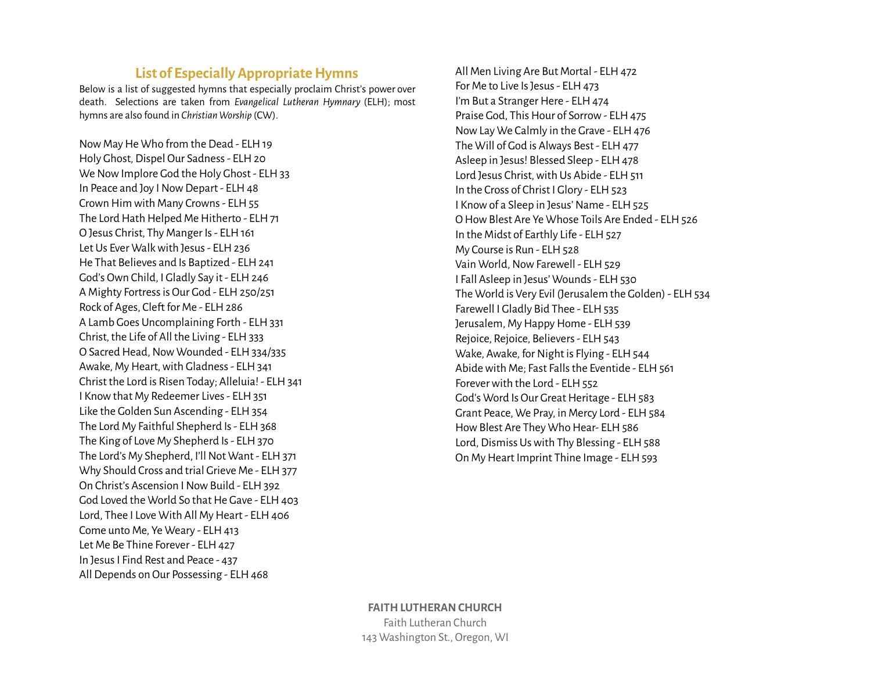# **List of Especially Appropriate Hymns**

Below is a list of suggested hymns that especially proclaim Christ's power over death. Selections are taken from *Evangelical Lutheran Hymnary* (ELH); most hymns are also found in *Christian Worship* (CW).

Now May He Who from the Dead - ELH 19 Holy Ghost, Dispel Our Sadness - ELH 20 We Now Implore God the Holy Ghost - ELH 33 In Peace and Joy I Now Depart - ELH 48 Crown Him with Many Crowns - ELH 55 The Lord Hath Helped Me Hitherto - ELH 71 O Jesus Christ, Thy Manger Is- ELH161 Let Us Ever Walkwith Jesus- ELH236 He That Believes and Is Baptized - ELH 241 God's Own Child, I Gladly Say it - ELH 246 A Mighty Fortress is Our God - ELH 250/251 Rock of Ages, Cleft for Me - ELH 286 A Lamb Goes Uncomplaining Forth - ELH331 Christ, the Life of All the Living - ELH 333 O Sacred Head, Now Wounded - ELH 334/335 Awake, My Heart, with Gladness - ELH 341 Christ the Lord is Risen Today; Alleluia! - ELH341 I Know that My Redeemer Lives - ELH 351 Like the Golden Sun Ascending - ELH 354 The Lord My Faithful Shepherd Is - ELH 368 The King of Love My Shepherd Is - ELH 370 The Lord's My Shepherd, I'll Not Want - ELH 371 Why Should Cross and trial Grieve Me - ELH 377 On Christ's Ascension I Now Build - ELH 392 God Loved the World So that He Gave - ELH 403 Lord, Thee I Love With All My Heart - ELH 406 Come unto Me, Ye Weary - ELH 413 Let Me Be Thine Forever - ELH 427 In JesusI Find Rest and Peace - 437 All Depends on Our Possessing - ELH 468

All Men Living Are But Mortal - ELH 472 For Me to Live Is Jesus - ELH 473 I'm But a Stranger Here - ELH 474 Praise God, This Hour of Sorrow - ELH 475 Now Lay We Calmly in the Grave - ELH 476 The Will of God is Always Best - ELH 477 Asleep in Jesus! Blessed Sleep - ELH 478 Lord Jesus Christ, with Us Abide - ELH 511 In the Cross of Christ I Glory - ELH 523 I Know of a Sleep in Jesus' Name - ELH 525 O How Blest Are Ye Whose Toils Are Ended - ELH 526 In the Midst of Earthly Life - ELH 527 My Course is Run - ELH 528 Vain World, Now Farewell - ELH 529 I Fall Asleep in Jesus' Wounds - ELH 530 The World is Very Evil (Jerusalem the Golden) - ELH 534 Farewell I Gladly Bid Thee - ELH 535 Jerusalem, My Happy Home - ELH 539 Rejoice, Rejoice, Believers - ELH 543 Wake, Awake, for Night is Flying - ELH 544 Abide with Me; Fast Falls the Eventide - ELH 561 Forever with the Lord - ELH 552 God's Word Is Our Great Heritage - ELH 583 Grant Peace, We Pray, in Mercy Lord - ELH 584 How Blest Are They Who Hear- ELH 586 Lord, Dismiss Us with Thy Blessing - ELH 588 On My Heart Imprint Thine Image - ELH 593